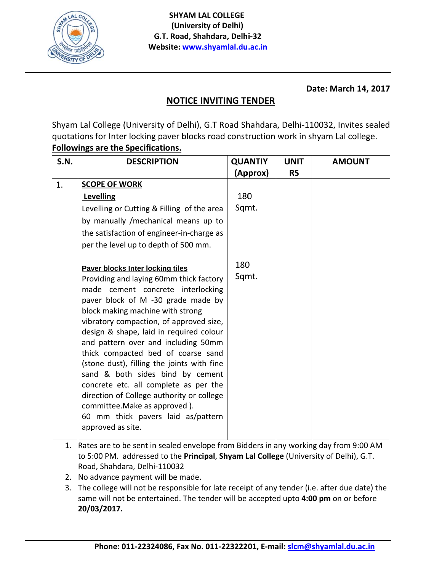

**Date: March 14, 2017**

## **NOTICE IN NVITING TE ENDER**

Shyam Lal College (University of Delhi), G.T Road Shahdara, Delhi-110032, Invites sealed quotations for Inter locking paver blocks road construction work in shyam Lal college. **Followings are the Specifications.** 

| <b>S.N.</b> | <b>DESCRIPTION</b>                                                                                                                                                                                                                                                                                                                                                                                                                                                                                                                                                                                                                | <b>QUANTIY</b> | <b>UNIT</b> | <b>AMOUNT</b> |
|-------------|-----------------------------------------------------------------------------------------------------------------------------------------------------------------------------------------------------------------------------------------------------------------------------------------------------------------------------------------------------------------------------------------------------------------------------------------------------------------------------------------------------------------------------------------------------------------------------------------------------------------------------------|----------------|-------------|---------------|
|             |                                                                                                                                                                                                                                                                                                                                                                                                                                                                                                                                                                                                                                   | (Approx)       | <b>RS</b>   |               |
| 1.          | <b>SCOPE OF WORK</b>                                                                                                                                                                                                                                                                                                                                                                                                                                                                                                                                                                                                              |                |             |               |
|             | Levelling                                                                                                                                                                                                                                                                                                                                                                                                                                                                                                                                                                                                                         | 180            |             |               |
|             | Levelling or Cutting & Filling of the area                                                                                                                                                                                                                                                                                                                                                                                                                                                                                                                                                                                        | Sqmt.          |             |               |
|             | by manually /mechanical means up to                                                                                                                                                                                                                                                                                                                                                                                                                                                                                                                                                                                               |                |             |               |
|             | the satisfaction of engineer-in-charge as                                                                                                                                                                                                                                                                                                                                                                                                                                                                                                                                                                                         |                |             |               |
|             | per the level up to depth of 500 mm.                                                                                                                                                                                                                                                                                                                                                                                                                                                                                                                                                                                              |                |             |               |
|             | Paver blocks Inter locking tiles<br>Providing and laying 60mm thick factory<br>made cement concrete interlocking<br>paver block of M -30 grade made by<br>block making machine with strong<br>vibratory compaction, of approved size,<br>design & shape, laid in required colour<br>and pattern over and including 50mm<br>thick compacted bed of coarse sand<br>(stone dust), filling the joints with fine<br>sand & both sides bind by cement<br>concrete etc. all complete as per the<br>direction of College authority or college<br>committee. Make as approved).<br>60 mm thick pavers laid as/pattern<br>approved as site. | 180<br>Sqmt.   |             |               |

- 1. Rates are to be sent in sealed envelope from Bidders in any working day from 9:00 AM to 5:00 PM. addressed to the Principal, Shyam Lal College (University of Delhi), G.T. Road, Shahdara, Delhi-110032
- 2. N No advance p payment wil l be made.
- 3. The college will not be responsible for late receipt of any tender (i.e. after due date) the same will not be entertained. The tender will be accepted upto 4:00 pm on or before **2 0/03/2017.**